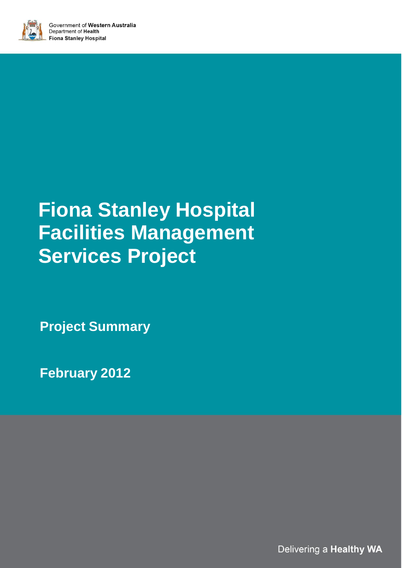

# **Fiona Stanley Hospital Facilities Management Services Project**

**Project Summary**

**February 2012**

Delivering a Healthy WA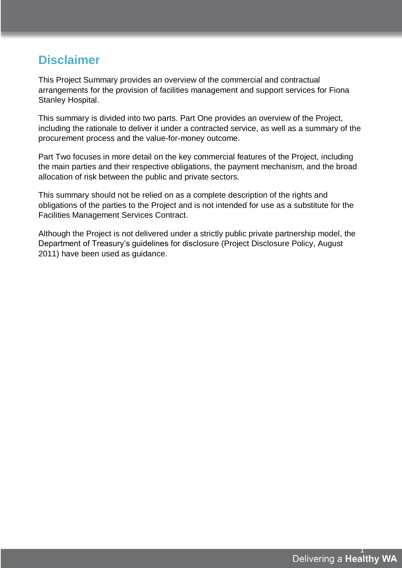## **Disclaimer**

This Project Summary provides an overview of the commercial and contractual arrangements for the provision of facilities management and support services for Fiona Stanley Hospital.

This summary is divided into two parts. Part One provides an overview of the Project, including the rationale to deliver it under a contracted service, as well as a summary of the procurement process and the value-for-money outcome.

Part Two focuses in more detail on the key commercial features of the Project, including the main parties and their respective obligations, the payment mechanism, and the broad allocation of risk between the public and private sectors.

This summary should not be relied on as a complete description of the rights and obligations of the parties to the Project and is not intended for use as a substitute for the Facilities Management Services Contract.

Although the Project is not delivered under a strictly public private partnership model, the Department of Treasury's guidelines for disclosure (Project Disclosure Policy, August 2011) have been used as guidance.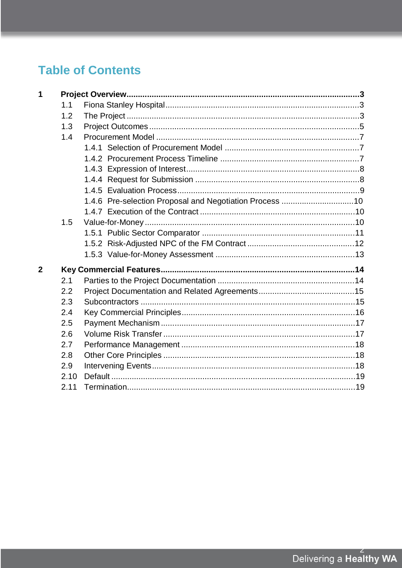## **Table of Contents**

| 1              |      |                                                         |  |
|----------------|------|---------------------------------------------------------|--|
|                | 1.1  |                                                         |  |
|                | 1.2  |                                                         |  |
|                | 1.3  |                                                         |  |
|                | 1.4  |                                                         |  |
|                |      |                                                         |  |
|                |      |                                                         |  |
|                |      |                                                         |  |
|                |      |                                                         |  |
|                |      |                                                         |  |
|                |      | 1.4.6 Pre-selection Proposal and Negotiation Process 10 |  |
|                |      |                                                         |  |
|                | 1.5  |                                                         |  |
|                |      |                                                         |  |
|                |      |                                                         |  |
|                |      |                                                         |  |
| $\overline{2}$ |      |                                                         |  |
|                | 2.1  |                                                         |  |
|                | 2.2  |                                                         |  |
|                | 2.3  |                                                         |  |
|                | 2.4  |                                                         |  |
|                | 2.5  |                                                         |  |
|                | 2.6  |                                                         |  |
|                | 2.7  |                                                         |  |
|                | 2.8  |                                                         |  |
|                | 2.9  |                                                         |  |
|                | 2.10 |                                                         |  |
|                | 2.11 |                                                         |  |
|                |      |                                                         |  |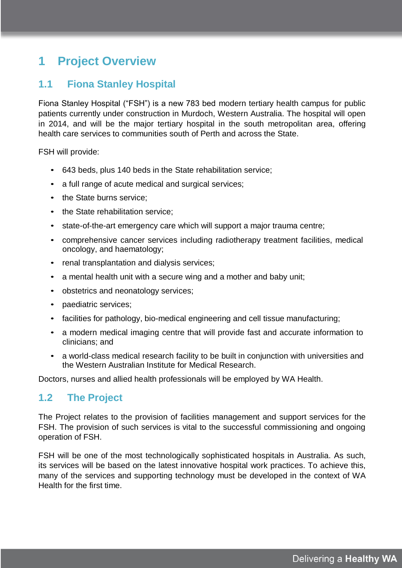## **1 Project Overview**

## **1.1 Fiona Stanley Hospital**

Fiona Stanley Hospital ("FSH") is a new 783 bed modern tertiary health campus for public patients currently under construction in Murdoch, Western Australia. The hospital will open in 2014, and will be the major tertiary hospital in the south metropolitan area, offering health care services to communities south of Perth and across the State.

FSH will provide:

- 643 beds, plus 140 beds in the State rehabilitation service;
- a full range of acute medical and surgical services;
- the State burns service:
- the State rehabilitation service:
- state-of-the-art emergency care which will support a major trauma centre;
- comprehensive cancer services including radiotherapy treatment facilities, medical oncology, and haematology;
- renal transplantation and dialysis services;
- a mental health unit with a secure wing and a mother and baby unit;
- obstetrics and neonatology services;
- paediatric services;
- facilities for pathology, bio-medical engineering and cell tissue manufacturing;
- a modern medical imaging centre that will provide fast and accurate information to clinicians; and
- a world-class medical research facility to be built in conjunction with universities and the Western Australian Institute for Medical Research.

Doctors, nurses and allied health professionals will be employed by WA Health.

## **1.2 The Project**

The Project relates to the provision of facilities management and support services for the FSH. The provision of such services is vital to the successful commissioning and ongoing operation of FSH.

FSH will be one of the most technologically sophisticated hospitals in Australia. As such, its services will be based on the latest innovative hospital work practices. To achieve this, many of the services and supporting technology must be developed in the context of WA Health for the first time.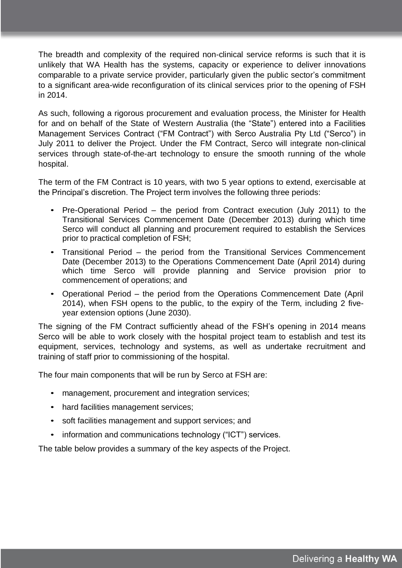The breadth and complexity of the required non-clinical service reforms is such that it is unlikely that WA Health has the systems, capacity or experience to deliver innovations comparable to a private service provider, particularly given the public sector's commitment to a significant area-wide reconfiguration of its clinical services prior to the opening of FSH in 2014.

As such, following a rigorous procurement and evaluation process, the Minister for Health for and on behalf of the State of Western Australia (the "State") entered into a Facilities Management Services Contract ("FM Contract") with Serco Australia Pty Ltd ("Serco") in July 2011 to deliver the Project. Under the FM Contract, Serco will integrate non-clinical services through state-of-the-art technology to ensure the smooth running of the whole hospital.

The term of the FM Contract is 10 years, with two 5 year options to extend, exercisable at the Principal's discretion. The Project term involves the following three periods:

- Pre-Operational Period the period from Contract execution (July 2011) to the Transitional Services Commencement Date (December 2013) during which time Serco will conduct all planning and procurement required to establish the Services prior to practical completion of FSH;
- Transitional Period the period from the Transitional Services Commencement Date (December 2013) to the Operations Commencement Date (April 2014) during which time Serco will provide planning and Service provision prior to commencement of operations; and
- Operational Period the period from the Operations Commencement Date (April 2014), when FSH opens to the public, to the expiry of the Term, including 2 fiveyear extension options (June 2030).

The signing of the FM Contract sufficiently ahead of the FSH's opening in 2014 means Serco will be able to work closely with the hospital project team to establish and test its equipment, services, technology and systems, as well as undertake recruitment and training of staff prior to commissioning of the hospital.

The four main components that will be run by Serco at FSH are:

- management, procurement and integration services;
- hard facilities management services;
- soft facilities management and support services; and
- information and communications technology ("ICT") services.

The table below provides a summary of the key aspects of the Project.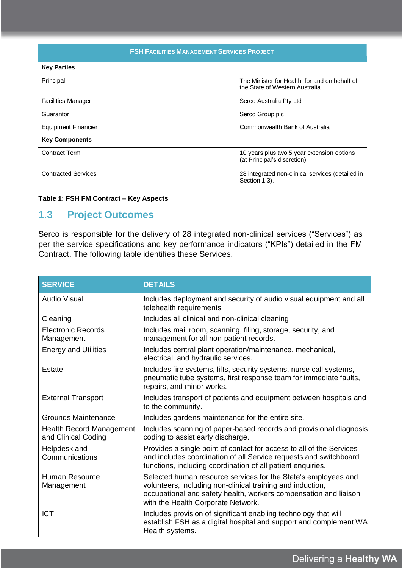| <b>FSH FACILITIES MANAGEMENT SERVICES PROJECT</b> |                                                                                 |  |
|---------------------------------------------------|---------------------------------------------------------------------------------|--|
| <b>Key Parties</b>                                |                                                                                 |  |
| Principal                                         | The Minister for Health, for and on behalf of<br>the State of Western Australia |  |
| <b>Facilities Manager</b>                         | Serco Australia Pty Ltd                                                         |  |
| Guarantor                                         | Serco Group plc                                                                 |  |
| Equipment Financier                               | Commonwealth Bank of Australia                                                  |  |
| <b>Key Components</b>                             |                                                                                 |  |
| <b>Contract Term</b>                              | 10 years plus two 5 year extension options<br>(at Principal's discretion)       |  |
| <b>Contracted Services</b>                        | 28 integrated non-clinical services (detailed in<br>Section 1.3).               |  |

#### **Table 1: FSH FM Contract – Key Aspects**

## **1.3 Project Outcomes**

Serco is responsible for the delivery of 28 integrated non-clinical services ("Services") as per the service specifications and key performance indicators ("KPIs") detailed in the FM Contract. The following table identifies these Services.

| <b>SERVICE</b>                                         | <b>DETAILS</b>                                                                                                                                                                                                                         |
|--------------------------------------------------------|----------------------------------------------------------------------------------------------------------------------------------------------------------------------------------------------------------------------------------------|
| Audio Visual                                           | Includes deployment and security of audio visual equipment and all<br>telehealth requirements                                                                                                                                          |
| Cleaning                                               | Includes all clinical and non-clinical cleaning                                                                                                                                                                                        |
| Electronic Records<br>Management                       | Includes mail room, scanning, filing, storage, security, and<br>management for all non-patient records.                                                                                                                                |
| <b>Energy and Utilities</b>                            | Includes central plant operation/maintenance, mechanical,<br>electrical, and hydraulic services.                                                                                                                                       |
| <b>Estate</b>                                          | Includes fire systems, lifts, security systems, nurse call systems,<br>pneumatic tube systems, first response team for immediate faults,<br>repairs, and minor works.                                                                  |
| <b>External Transport</b>                              | Includes transport of patients and equipment between hospitals and<br>to the community.                                                                                                                                                |
| Grounds Maintenance                                    | Includes gardens maintenance for the entire site.                                                                                                                                                                                      |
| <b>Health Record Management</b><br>and Clinical Coding | Includes scanning of paper-based records and provisional diagnosis<br>coding to assist early discharge.                                                                                                                                |
| Helpdesk and<br>Communications                         | Provides a single point of contact for access to all of the Services<br>and includes coordination of all Service requests and switchboard<br>functions, including coordination of all patient enquiries.                               |
| <b>Human Resource</b><br>Management                    | Selected human resource services for the State's employees and<br>volunteers, including non-clinical training and induction,<br>occupational and safety health, workers compensation and liaison<br>with the Health Corporate Network. |
| <b>ICT</b>                                             | Includes provision of significant enabling technology that will<br>establish FSH as a digital hospital and support and complement WA<br>Health systems.                                                                                |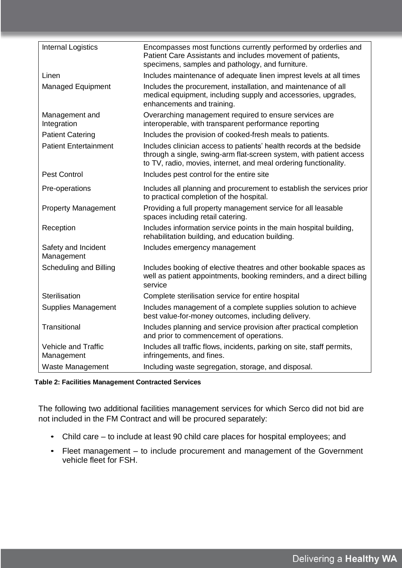| <b>Internal Logistics</b>                | Encompasses most functions currently performed by orderlies and<br>Patient Care Assistants and includes movement of patients,<br>specimens, samples and pathology, and furniture.                               |
|------------------------------------------|-----------------------------------------------------------------------------------------------------------------------------------------------------------------------------------------------------------------|
| Linen                                    | Includes maintenance of adequate linen imprest levels at all times                                                                                                                                              |
| Managed Equipment                        | Includes the procurement, installation, and maintenance of all<br>medical equipment, including supply and accessories, upgrades,<br>enhancements and training.                                                  |
| Management and<br>Integration            | Overarching management required to ensure services are<br>interoperable, with transparent performance reporting                                                                                                 |
| <b>Patient Catering</b>                  | Includes the provision of cooked-fresh meals to patients.                                                                                                                                                       |
| <b>Patient Entertainment</b>             | Includes clinician access to patients' health records at the bedside<br>through a single, swing-arm flat-screen system, with patient access<br>to TV, radio, movies, internet, and meal ordering functionality. |
| <b>Pest Control</b>                      | Includes pest control for the entire site                                                                                                                                                                       |
| Pre-operations                           | Includes all planning and procurement to establish the services prior<br>to practical completion of the hospital.                                                                                               |
| <b>Property Management</b>               | Providing a full property management service for all leasable<br>spaces including retail catering.                                                                                                              |
| Reception                                | Includes information service points in the main hospital building,<br>rehabilitation building, and education building.                                                                                          |
| Safety and Incident<br>Management        | Includes emergency management                                                                                                                                                                                   |
| <b>Scheduling and Billing</b>            | Includes booking of elective theatres and other bookable spaces as<br>well as patient appointments, booking reminders, and a direct billing<br>service                                                          |
| Sterilisation                            | Complete sterilisation service for entire hospital                                                                                                                                                              |
| <b>Supplies Management</b>               | Includes management of a complete supplies solution to achieve<br>best value-for-money outcomes, including delivery.                                                                                            |
| Transitional                             | Includes planning and service provision after practical completion<br>and prior to commencement of operations.                                                                                                  |
| <b>Vehicle and Traffic</b><br>Management | Includes all traffic flows, incidents, parking on site, staff permits,<br>infringements, and fines.                                                                                                             |
| Waste Management                         | Including waste segregation, storage, and disposal.                                                                                                                                                             |

#### **Table 2: Facilities Management Contracted Services**

The following two additional facilities management services for which Serco did not bid are not included in the FM Contract and will be procured separately:

- Child care to include at least 90 child care places for hospital employees; and
- Fleet management to include procurement and management of the Government vehicle fleet for FSH.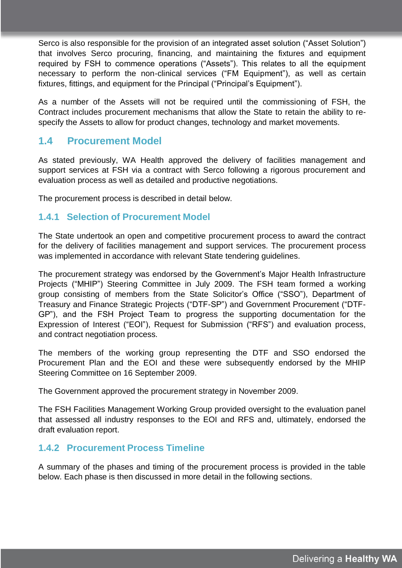Serco is also responsible for the provision of an integrated asset solution ("Asset Solution") that involves Serco procuring, financing, and maintaining the fixtures and equipment required by FSH to commence operations ("Assets"). This relates to all the equipment necessary to perform the non-clinical services ("FM Equipment"), as well as certain fixtures, fittings, and equipment for the Principal ("Principal's Equipment").

As a number of the Assets will not be required until the commissioning of FSH, the Contract includes procurement mechanisms that allow the State to retain the ability to respecify the Assets to allow for product changes, technology and market movements.

## **1.4 Procurement Model**

As stated previously, WA Health approved the delivery of facilities management and support services at FSH via a contract with Serco following a rigorous procurement and evaluation process as well as detailed and productive negotiations.

The procurement process is described in detail below.

#### **1.4.1 Selection of Procurement Model**

The State undertook an open and competitive procurement process to award the contract for the delivery of facilities management and support services. The procurement process was implemented in accordance with relevant State tendering guidelines.

The procurement strategy was endorsed by the Government's Major Health Infrastructure Projects ("MHIP") Steering Committee in July 2009. The FSH team formed a working group consisting of members from the State Solicitor's Office ("SSO"), Department of Treasury and Finance Strategic Projects ("DTF-SP") and Government Procurement ("DTF-GP"), and the FSH Project Team to progress the supporting documentation for the Expression of Interest ("EOI"), Request for Submission ("RFS") and evaluation process, and contract negotiation process.

The members of the working group representing the DTF and SSO endorsed the Procurement Plan and the EOI and these were subsequently endorsed by the MHIP Steering Committee on 16 September 2009.

The Government approved the procurement strategy in November 2009.

The FSH Facilities Management Working Group provided oversight to the evaluation panel that assessed all industry responses to the EOI and RFS and, ultimately, endorsed the draft evaluation report.

### **1.4.2 Procurement Process Timeline**

A summary of the phases and timing of the procurement process is provided in the table below. Each phase is then discussed in more detail in the following sections.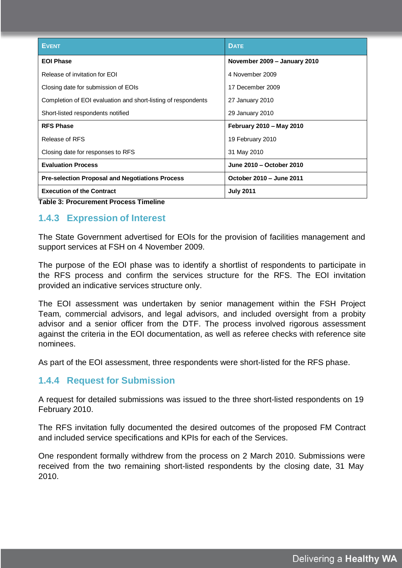| <b>EVENT</b>                                                  | <b>DATE</b>                  |
|---------------------------------------------------------------|------------------------------|
| <b>EOI Phase</b>                                              | November 2009 - January 2010 |
| Release of invitation for EOI                                 | 4 November 2009              |
| Closing date for submission of EOIs                           | 17 December 2009             |
| Completion of EOI evaluation and short-listing of respondents | 27 January 2010              |
| Short-listed respondents notified                             | 29 January 2010              |
| <b>RFS Phase</b>                                              | February 2010 - May 2010     |
| Release of RFS                                                | 19 February 2010             |
| Closing date for responses to RFS                             | 31 May 2010                  |
| <b>Evaluation Process</b>                                     | June 2010 - October 2010     |
| <b>Pre-selection Proposal and Negotiations Process</b>        | October 2010 - June 2011     |
| <b>Execution of the Contract</b>                              | <b>July 2011</b>             |

**Table 3: Procurement Process Timeline**

## **1.4.3 Expression of Interest**

The State Government advertised for EOIs for the provision of facilities management and support services at FSH on 4 November 2009.

The purpose of the EOI phase was to identify a shortlist of respondents to participate in the RFS process and confirm the services structure for the RFS. The EOI invitation provided an indicative services structure only.

The EOI assessment was undertaken by senior management within the FSH Project Team, commercial advisors, and legal advisors, and included oversight from a probity advisor and a senior officer from the DTF. The process involved rigorous assessment against the criteria in the EOI documentation, as well as referee checks with reference site nominees.

As part of the EOI assessment, three respondents were short-listed for the RFS phase.

### **1.4.4 Request for Submission**

A request for detailed submissions was issued to the three short-listed respondents on 19 February 2010.

The RFS invitation fully documented the desired outcomes of the proposed FM Contract and included service specifications and KPIs for each of the Services.

One respondent formally withdrew from the process on 2 March 2010. Submissions were received from the two remaining short-listed respondents by the closing date, 31 May 2010.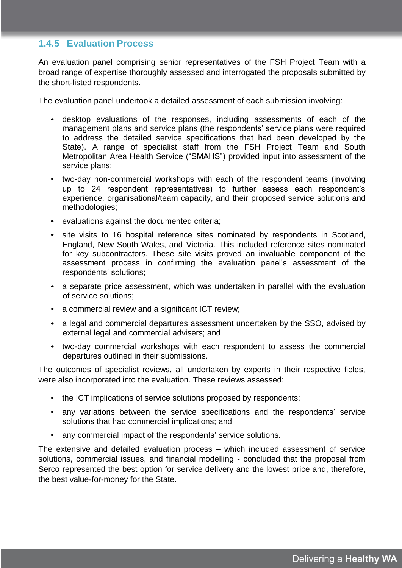## **1.4.5 Evaluation Process**

An evaluation panel comprising senior representatives of the FSH Project Team with a broad range of expertise thoroughly assessed and interrogated the proposals submitted by the short-listed respondents.

The evaluation panel undertook a detailed assessment of each submission involving:

- desktop evaluations of the responses, including assessments of each of the management plans and service plans (the respondents' service plans were required to address the detailed service specifications that had been developed by the State). A range of specialist staff from the FSH Project Team and South Metropolitan Area Health Service ("SMAHS") provided input into assessment of the service plans;
- two-day non-commercial workshops with each of the respondent teams (involving up to 24 respondent representatives) to further assess each respondent's experience, organisational/team capacity, and their proposed service solutions and methodologies;
- evaluations against the documented criteria;
- site visits to 16 hospital reference sites nominated by respondents in Scotland, England, New South Wales, and Victoria. This included reference sites nominated for key subcontractors. These site visits proved an invaluable component of the assessment process in confirming the evaluation panel's assessment of the respondents' solutions;
- a separate price assessment, which was undertaken in parallel with the evaluation of service solutions;
- a commercial review and a significant ICT review;
- a legal and commercial departures assessment undertaken by the SSO, advised by external legal and commercial advisers; and
- two-day commercial workshops with each respondent to assess the commercial departures outlined in their submissions.

The outcomes of specialist reviews, all undertaken by experts in their respective fields, were also incorporated into the evaluation. These reviews assessed:

- the ICT implications of service solutions proposed by respondents;
- any variations between the service specifications and the respondents' service solutions that had commercial implications; and
- any commercial impact of the respondents' service solutions.

The extensive and detailed evaluation process – which included assessment of service solutions, commercial issues, and financial modelling - concluded that the proposal from Serco represented the best option for service delivery and the lowest price and, therefore, the best value-for-money for the State.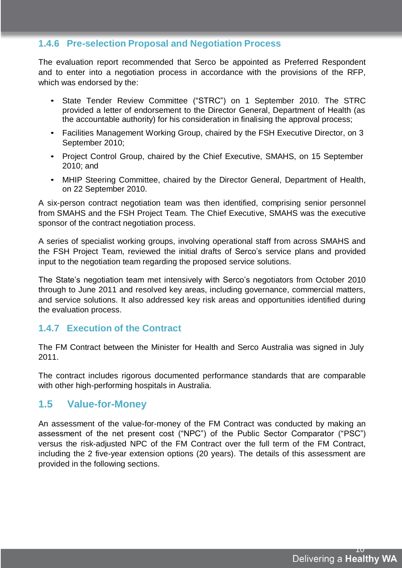## **1.4.6 Pre-selection Proposal and Negotiation Process**

The evaluation report recommended that Serco be appointed as Preferred Respondent and to enter into a negotiation process in accordance with the provisions of the RFP, which was endorsed by the:

- State Tender Review Committee ("STRC") on 1 September 2010. The STRC provided a letter of endorsement to the Director General, Department of Health (as the accountable authority) for his consideration in finalising the approval process;
- Facilities Management Working Group, chaired by the FSH Executive Director, on 3 September 2010;
- Project Control Group, chaired by the Chief Executive, SMAHS, on 15 September 2010; and
- MHIP Steering Committee, chaired by the Director General, Department of Health, on 22 September 2010.

A six-person contract negotiation team was then identified, comprising senior personnel from SMAHS and the FSH Project Team. The Chief Executive, SMAHS was the executive sponsor of the contract negotiation process.

A series of specialist working groups, involving operational staff from across SMAHS and the FSH Project Team, reviewed the initial drafts of Serco's service plans and provided input to the negotiation team regarding the proposed service solutions.

The State's negotiation team met intensively with Serco's negotiators from October 2010 through to June 2011 and resolved key areas, including governance, commercial matters, and service solutions. It also addressed key risk areas and opportunities identified during the evaluation process.

## **1.4.7 Execution of the Contract**

The FM Contract between the Minister for Health and Serco Australia was signed in July 2011.

The contract includes rigorous documented performance standards that are comparable with other high-performing hospitals in Australia.

## **1.5 Value-for-Money**

An assessment of the value-for-money of the FM Contract was conducted by making an assessment of the net present cost ("NPC") of the Public Sector Comparator ("PSC") versus the risk-adjusted NPC of the FM Contract over the full term of the FM Contract, including the 2 five-year extension options (20 years). The details of this assessment are provided in the following sections.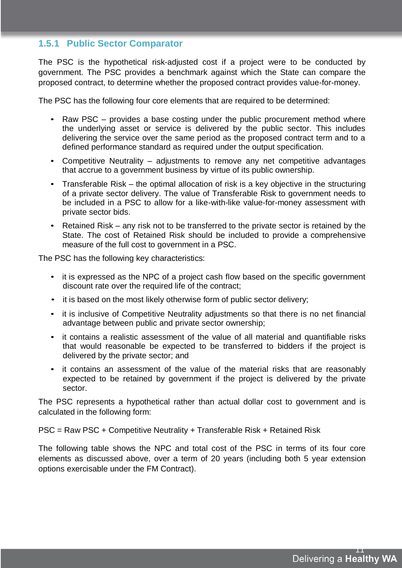### **1.5.1 Public Sector Comparator**

The PSC is the hypothetical risk-adjusted cost if a project were to be conducted by government. The PSC provides a benchmark against which the State can compare the proposed contract, to determine whether the proposed contract provides value-for-money.

The PSC has the following four core elements that are required to be determined:

- Raw PSC provides a base costing under the public procurement method where the underlying asset or service is delivered by the public sector. This includes delivering the service over the same period as the proposed contract term and to a defined performance standard as required under the output specification.
- Competitive Neutrality adjustments to remove any net competitive advantages that accrue to a government business by virtue of its public ownership.
- Transferable Risk the optimal allocation of risk is a key objective in the structuring of a private sector delivery. The value of Transferable Risk to government needs to be included in a PSC to allow for a like-with-like value-for-money assessment with private sector bids.
- Retained Risk any risk not to be transferred to the private sector is retained by the State. The cost of Retained Risk should be included to provide a comprehensive measure of the full cost to government in a PSC.

The PSC has the following key characteristics:

- it is expressed as the NPC of a project cash flow based on the specific government discount rate over the required life of the contract;
- it is based on the most likely otherwise form of public sector delivery;
- it is inclusive of Competitive Neutrality adjustments so that there is no net financial advantage between public and private sector ownership;
- it contains a realistic assessment of the value of all material and quantifiable risks that would reasonable be expected to be transferred to bidders if the project is delivered by the private sector; and
- it contains an assessment of the value of the material risks that are reasonably expected to be retained by government if the project is delivered by the private sector.

The PSC represents a hypothetical rather than actual dollar cost to government and is calculated in the following form:

PSC = Raw PSC + Competitive Neutrality + Transferable Risk + Retained Risk

The following table shows the NPC and total cost of the PSC in terms of its four core elements as discussed above, over a term of 20 years (including both 5 year extension options exercisable under the FM Contract).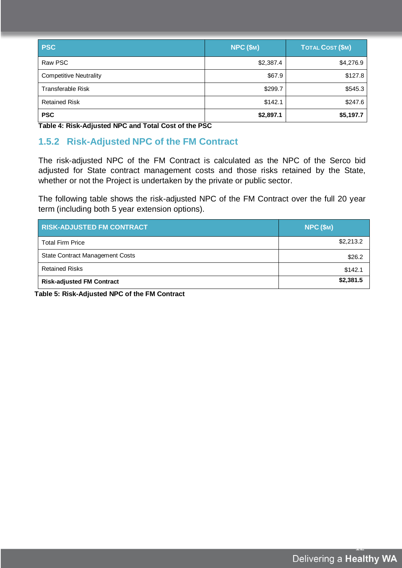| <b>PSC</b>                    | <b>NPC (\$M)</b> | TOTAL COST (\$M) |
|-------------------------------|------------------|------------------|
| Raw PSC                       | \$2,387.4        | \$4,276.9        |
| <b>Competitive Neutrality</b> | \$67.9           | \$127.8          |
| <b>Transferable Risk</b>      | \$299.7          | \$545.3          |
| <b>Retained Risk</b>          | \$142.1          | \$247.6          |
| <b>PSC</b>                    | \$2,897.1        | \$5,197.7        |

**Table 4: Risk-Adjusted NPC and Total Cost of the PSC**

## **1.5.2 Risk-Adjusted NPC of the FM Contract**

The risk-adjusted NPC of the FM Contract is calculated as the NPC of the Serco bid adjusted for State contract management costs and those risks retained by the State, whether or not the Project is undertaken by the private or public sector.

The following table shows the risk-adjusted NPC of the FM Contract over the full 20 year term (including both 5 year extension options).

| <b>RISK-ADJUSTED FM CONTRACT</b>       | NPC (\$M) |  |
|----------------------------------------|-----------|--|
| <b>Total Firm Price</b>                | \$2,213.2 |  |
| <b>State Contract Management Costs</b> | \$26.2    |  |
| <b>Retained Risks</b>                  | \$142.1   |  |
| <b>Risk-adjusted FM Contract</b>       | \$2,381.5 |  |

**Table 5: Risk-Adjusted NPC of the FM Contract**

12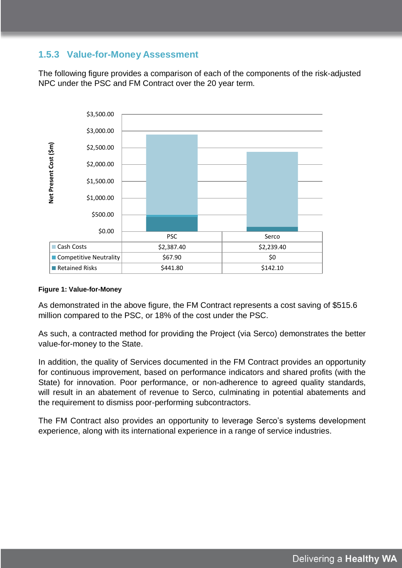## **1.5.3 Value-for-Money Assessment**

The following figure provides a comparison of each of the components of the risk-adjusted NPC under the PSC and FM Contract over the 20 year term.



#### **Figure 1: Value-for-Money**

As demonstrated in the above figure, the FM Contract represents a cost saving of \$515.6 million compared to the PSC, or 18% of the cost under the PSC.

As such, a contracted method for providing the Project (via Serco) demonstrates the better value-for-money to the State.

In addition, the quality of Services documented in the FM Contract provides an opportunity for continuous improvement, based on performance indicators and shared profits (with the State) for innovation. Poor performance, or non-adherence to agreed quality standards, will result in an abatement of revenue to Serco, culminating in potential abatements and the requirement to dismiss poor-performing subcontractors.

The FM Contract also provides an opportunity to leverage Serco's systems development experience, along with its international experience in a range of service industries.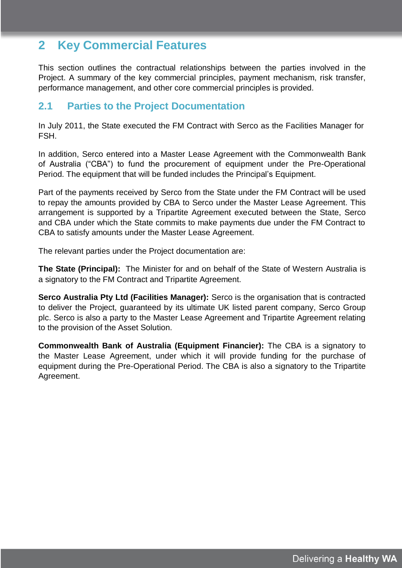## **2 Key Commercial Features**

This section outlines the contractual relationships between the parties involved in the Project. A summary of the key commercial principles, payment mechanism, risk transfer, performance management, and other core commercial principles is provided.

## **2.1 Parties to the Project Documentation**

In July 2011, the State executed the FM Contract with Serco as the Facilities Manager for FSH.

In addition, Serco entered into a Master Lease Agreement with the Commonwealth Bank of Australia ("CBA") to fund the procurement of equipment under the Pre-Operational Period. The equipment that will be funded includes the Principal's Equipment.

Part of the payments received by Serco from the State under the FM Contract will be used to repay the amounts provided by CBA to Serco under the Master Lease Agreement. This arrangement is supported by a Tripartite Agreement executed between the State, Serco and CBA under which the State commits to make payments due under the FM Contract to CBA to satisfy amounts under the Master Lease Agreement.

The relevant parties under the Project documentation are:

**The State (Principal):** The Minister for and on behalf of the State of Western Australia is a signatory to the FM Contract and Tripartite Agreement.

**Serco Australia Pty Ltd (Facilities Manager):** Serco is the organisation that is contracted to deliver the Project, guaranteed by its ultimate UK listed parent company, Serco Group plc. Serco is also a party to the Master Lease Agreement and Tripartite Agreement relating to the provision of the Asset Solution.

**Commonwealth Bank of Australia (Equipment Financier):** The CBA is a signatory to the Master Lease Agreement, under which it will provide funding for the purchase of equipment during the Pre-Operational Period. The CBA is also a signatory to the Tripartite Agreement.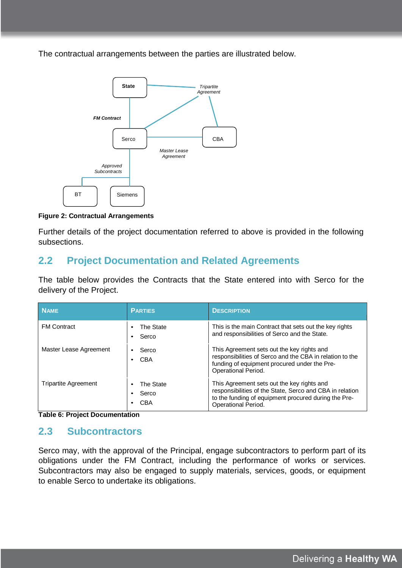The contractual arrangements between the parties are illustrated below.



#### **Figure 2: Contractual Arrangements**

Further details of the project documentation referred to above is provided in the following subsections.

## **2.2 Project Documentation and Related Agreements**

The table below provides the Contracts that the State entered into with Serco for the delivery of the Project.

| <b>NAME</b>                 | <b>PARTIES</b>                                                   | <b>DESCRIPTION</b>                                                                                                                                                                    |
|-----------------------------|------------------------------------------------------------------|---------------------------------------------------------------------------------------------------------------------------------------------------------------------------------------|
| <b>FM Contract</b>          | The State<br>$\bullet$<br>Serco<br>$\bullet$                     | This is the main Contract that sets out the key rights<br>and responsibilities of Serco and the State.                                                                                |
| Master Lease Agreement      | Serco<br>$\bullet$<br>CBA<br>$\bullet$                           | This Agreement sets out the key rights and<br>responsibilities of Serco and the CBA in relation to the<br>funding of equipment procured under the Pre-<br>Operational Period.         |
| <b>Tripartite Agreement</b> | The State<br>$\bullet$<br>Serco<br>$\bullet$<br>CBA<br>$\bullet$ | This Agreement sets out the key rights and<br>responsibilities of the State, Serco and CBA in relation<br>to the funding of equipment procured during the Pre-<br>Operational Period. |

**Table 6: Project Documentation**

## **2.3 Subcontractors**

Serco may, with the approval of the Principal, engage subcontractors to perform part of its obligations under the FM Contract, including the performance of works or services. Subcontractors may also be engaged to supply materials, services, goods, or equipment to enable Serco to undertake its obligations.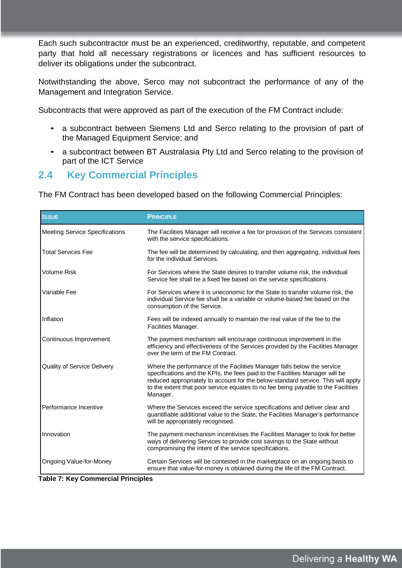Each such subcontractor must be an experienced, creditworthy, reputable, and competent party that hold all necessary registrations or licences and has sufficient resources to deliver its obligations under the subcontract.

Notwithstanding the above, Serco may not subcontract the performance of any of the Management and Integration Service.

Subcontracts that were approved as part of the execution of the FM Contract include:

- a subcontract between Siemens Ltd and Serco relating to the provision of part of the Managed Equipment Service; and
- a subcontract between BT Australasia Pty Ltd and Serco relating to the provision of part of the ICT Service

## **2.4 Key Commercial Principles**

The FM Contract has been developed based on the following Commercial Principles:

| <b>ISSUE</b>                                                  | <b>PRINCIPLE</b>                                                                                                                                                                                                                                                                                                                             |
|---------------------------------------------------------------|----------------------------------------------------------------------------------------------------------------------------------------------------------------------------------------------------------------------------------------------------------------------------------------------------------------------------------------------|
| <b>Meeting Service Specifications</b>                         | The Facilities Manager will receive a fee for provision of the Services consistent<br>with the service specifications.                                                                                                                                                                                                                       |
| <b>Total Services Fee</b>                                     | The fee will be determined by calculating, and then aggregating, individual fees<br>for the individual Services.                                                                                                                                                                                                                             |
| <b>Volume Risk</b>                                            | For Services where the State desires to transfer volume risk, the individual<br>Service fee shall be a fixed fee based on the service specifications.                                                                                                                                                                                        |
| Variable Fee                                                  | For Services where it is uneconomic for the State to transfer volume risk, the<br>individual Service fee shall be a variable or volume-based fee based on the<br>consumption of the Service.                                                                                                                                                 |
| Inflation                                                     | Fees will be indexed annually to maintain the real value of the fee to the<br>Facilities Manager.                                                                                                                                                                                                                                            |
| Continuous Improvement                                        | The payment mechanism will encourage continuous improvement in the<br>efficiency and effectiveness of the Services provided by the Facilities Manager<br>over the term of the FM Contract.                                                                                                                                                   |
| Quality of Service Delivery                                   | Where the performance of the Facilities Manager falls below the service<br>specifications and the KPIs, the fees paid to the Facilities Manager will be<br>reduced appropriately to account for the below-standard service. This will apply<br>to the extent that poor service equates to no fee being payable to the Facilities<br>Manager. |
| Performance Incentive                                         | Where the Services exceed the service specifications and deliver clear and<br>quantifiable additional value to the State, the Facilities Manager's performance<br>will be appropriately recognised.                                                                                                                                          |
| Innovation                                                    | The payment mechanism incentivises the Facilities Manager to look for better<br>ways of delivering Services to provide cost savings to the State without<br>compromising the intent of the service specifications.                                                                                                                           |
| Ongoing Value-for-Money<br>Table 7: Key Commercial Princinles | Certain Services will be contested in the marketplace on an ongoing basis to<br>ensure that value-for-money is obtained during the life of the FM Contract.                                                                                                                                                                                  |

**Table 7: Key Commercial Principles**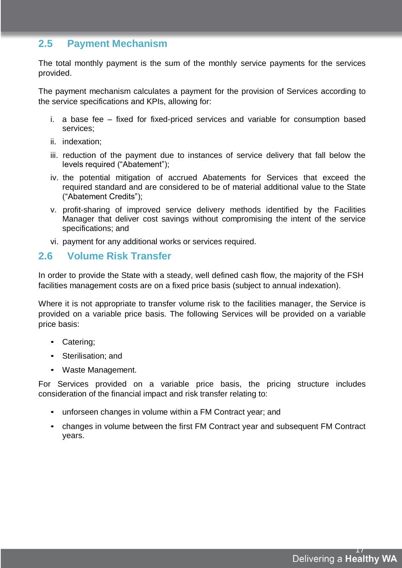## **2.5 Payment Mechanism**

The total monthly payment is the sum of the monthly service payments for the services provided.

The payment mechanism calculates a payment for the provision of Services according to the service specifications and KPIs, allowing for:

- i. a base fee fixed for fixed-priced services and variable for consumption based services;
- ii. indexation;
- iii. reduction of the payment due to instances of service delivery that fall below the levels required ("Abatement");
- iv. the potential mitigation of accrued Abatements for Services that exceed the required standard and are considered to be of material additional value to the State ("Abatement Credits");
- v. profit-sharing of improved service delivery methods identified by the Facilities Manager that deliver cost savings without compromising the intent of the service specifications; and
- vi. payment for any additional works or services required.

## **2.6 Volume Risk Transfer**

In order to provide the State with a steady, well defined cash flow, the majority of the FSH facilities management costs are on a fixed price basis (subject to annual indexation).

Where it is not appropriate to transfer volume risk to the facilities manager, the Service is provided on a variable price basis. The following Services will be provided on a variable price basis:

- Catering;
- Sterilisation; and
- Waste Management.

For Services provided on a variable price basis, the pricing structure includes consideration of the financial impact and risk transfer relating to:

- unforseen changes in volume within a FM Contract year; and
- changes in volume between the first FM Contract year and subsequent FM Contract years.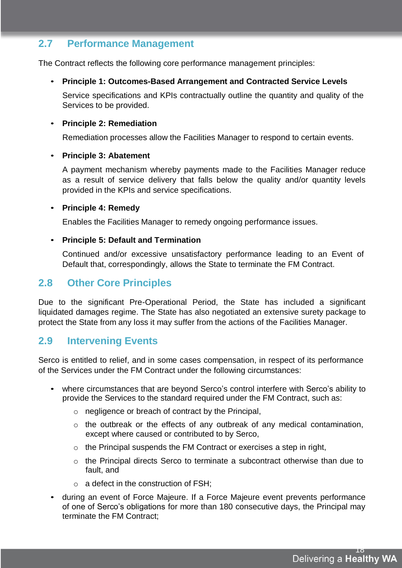## **2.7 Performance Management**

The Contract reflects the following core performance management principles:

#### • **Principle 1: Outcomes-Based Arrangement and Contracted Service Levels**

Service specifications and KPIs contractually outline the quantity and quality of the Services to be provided.

#### • **Principle 2: Remediation**

Remediation processes allow the Facilities Manager to respond to certain events.

#### • **Principle 3: Abatement**

A payment mechanism whereby payments made to the Facilities Manager reduce as a result of service delivery that falls below the quality and/or quantity levels provided in the KPIs and service specifications.

#### • **Principle 4: Remedy**

Enables the Facilities Manager to remedy ongoing performance issues.

#### • **Principle 5: Default and Termination**

Continued and/or excessive unsatisfactory performance leading to an Event of Default that, correspondingly, allows the State to terminate the FM Contract.

## **2.8 Other Core Principles**

Due to the significant Pre-Operational Period, the State has included a significant liquidated damages regime. The State has also negotiated an extensive surety package to protect the State from any loss it may suffer from the actions of the Facilities Manager.

## **2.9 Intervening Events**

Serco is entitled to relief, and in some cases compensation, in respect of its performance of the Services under the FM Contract under the following circumstances:

- where circumstances that are beyond Serco's control interfere with Serco's ability to provide the Services to the standard required under the FM Contract, such as:
	- o negligence or breach of contract by the Principal,
	- o the outbreak or the effects of any outbreak of any medical contamination, except where caused or contributed to by Serco,
	- $\circ$  the Principal suspends the FM Contract or exercises a step in right,
	- $\circ$  the Principal directs Serco to terminate a subcontract otherwise than due to fault, and
	- $\circ$  a defect in the construction of FSH:
- during an event of Force Majeure. If a Force Majeure event prevents performance of one of Serco's obligations for more than 180 consecutive days, the Principal may terminate the FM Contract;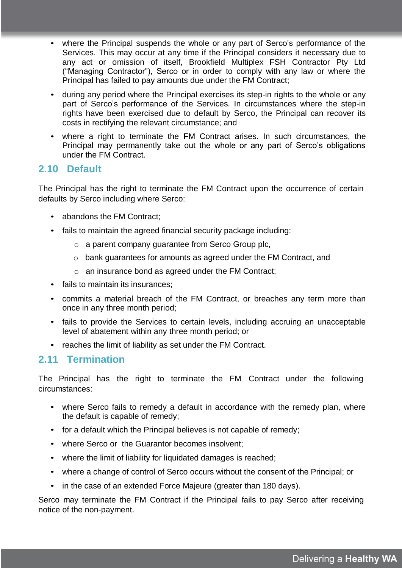- where the Principal suspends the whole or any part of Serco's performance of the Services. This may occur at any time if the Principal considers it necessary due to any act or omission of itself, Brookfield Multiplex FSH Contractor Pty Ltd ("Managing Contractor"), Serco or in order to comply with any law or where the Principal has failed to pay amounts due under the FM Contract;
- during any period where the Principal exercises its step-in rights to the whole or any part of Serco's performance of the Services. In circumstances where the step-in rights have been exercised due to default by Serco, the Principal can recover its costs in rectifying the relevant circumstance; and
- where a right to terminate the FM Contract arises. In such circumstances, the Principal may permanently take out the whole or any part of Serco's obligations under the FM Contract.

#### **2.10 Default**

The Principal has the right to terminate the FM Contract upon the occurrence of certain defaults by Serco including where Serco:

- abandons the FM Contract;
- fails to maintain the agreed financial security package including:
	- o a parent company guarantee from Serco Group plc,
	- o bank guarantees for amounts as agreed under the FM Contract, and
	- $\circ$  an insurance bond as agreed under the FM Contract:
- fails to maintain its insurances:
- commits a material breach of the FM Contract, or breaches any term more than once in any three month period;
- fails to provide the Services to certain levels, including accruing an unacceptable level of abatement within any three month period; or
- reaches the limit of liability as set under the FM Contract.

### **2.11 Termination**

The Principal has the right to terminate the FM Contract under the following circumstances:

- where Serco fails to remedy a default in accordance with the remedy plan, where the default is capable of remedy;
- for a default which the Principal believes is not capable of remedy;
- where Serco or the Guarantor becomes insolvent;
- where the limit of liability for liquidated damages is reached;
- where a change of control of Serco occurs without the consent of the Principal; or
- in the case of an extended Force Majeure (greater than 180 days).

Serco may terminate the FM Contract if the Principal fails to pay Serco after receiving notice of the non-payment.